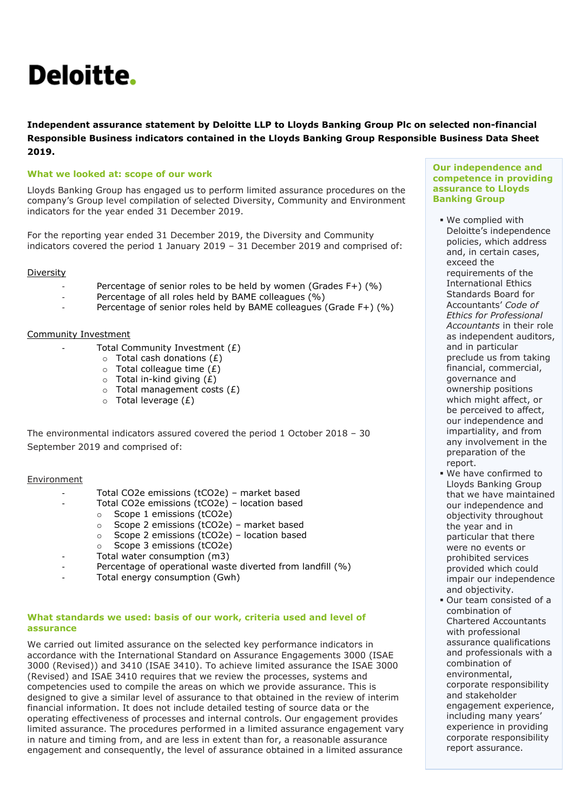# Deloitte.

**Independent assurance statement by Deloitte LLP to Lloyds Banking Group Plc on selected non-financial Responsible Business indicators contained in the Lloyds Banking Group Responsible Business Data Sheet 2019.**

## **What we looked at: scope of our work**

Lloyds Banking Group has engaged us to perform limited assurance procedures on the company's Group level compilation of selected Diversity, Community and Environment indicators for the year ended 31 December 2019.

For the reporting year ended 31 December 2019, the Diversity and Community indicators covered the period 1 January 2019 – 31 December 2019 and comprised of:

### Diversity

- Percentage of senior roles to be held by women (Grades F+) (%)
	- Percentage of all roles held by BAME colleagues (%)
- Percentage of senior roles held by BAME colleagues (Grade F+) (%)

### Community Investment

- Total Community Investment  $(E)$ 
	- $\circ$  Total cash donations (£)
	- $\circ$  Total colleague time  $(E)$
	- $\circ$  Total in-kind giving  $(E)$
	- $\circ$  Total management costs (£)
	- $\circ$  Total leverage (£)

The environmental indicators assured covered the period 1 October 2018 – 30 September 2019 and comprised of:

### Environment

- Total CO2e emissions (tCO2e) market based
	- Total CO2e emissions (tCO2e) location based
		- o Scope 1 emissions (tCO2e)
		- o Scope 2 emissions (tCO2e) market based
		- o Scope 2 emissions (tCO2e) location based
	- o Scope 3 emissions (tCO2e)
	- Total water consumption (m3)
- Percentage of operational waste diverted from landfill (%)
- Total energy consumption (Gwh)

### **What standards we used: basis of our work, criteria used and level of assurance**

We carried out limited assurance on the selected key performance indicators in accordance with the International Standard on Assurance Engagements 3000 (ISAE 3000 (Revised)) and 3410 (ISAE 3410). To achieve limited assurance the ISAE 3000 (Revised) and ISAE 3410 requires that we review the processes, systems and competencies used to compile the areas on which we provide assurance. This is designed to give a similar level of assurance to that obtained in the review of interim financial information. It does not include detailed testing of source data or the operating effectiveness of processes and internal controls. Our engagement provides limited assurance. The procedures performed in a limited assurance engagement vary in nature and timing from, and are less in extent than for, a reasonable assurance engagement and consequently, the level of assurance obtained in a limited assurance

#### **Our independence and competence in providing assurance to Lloyds Banking Group**

- We complied with Deloitte's independence policies, which address and, in certain cases, exceed the requirements of the International Ethics Standards Board for Accountants' *Code of Ethics for Professional Accountants* in their role as independent auditors, and in particular preclude us from taking financial, commercial, governance and ownership positions which might affect, or be perceived to affect, our independence and impartiality, and from any involvement in the preparation of the report.
- We have confirmed to Lloyds Banking Group that we have maintained our independence and objectivity throughout the year and in particular that there were no events or prohibited services provided which could impair our independence and objectivity.
- Our team consisted of a combination of Chartered Accountants with professional assurance qualifications and professionals with a combination of environmental, corporate responsibility and stakeholder engagement experience, including many years' experience in providing corporate responsibility report assurance.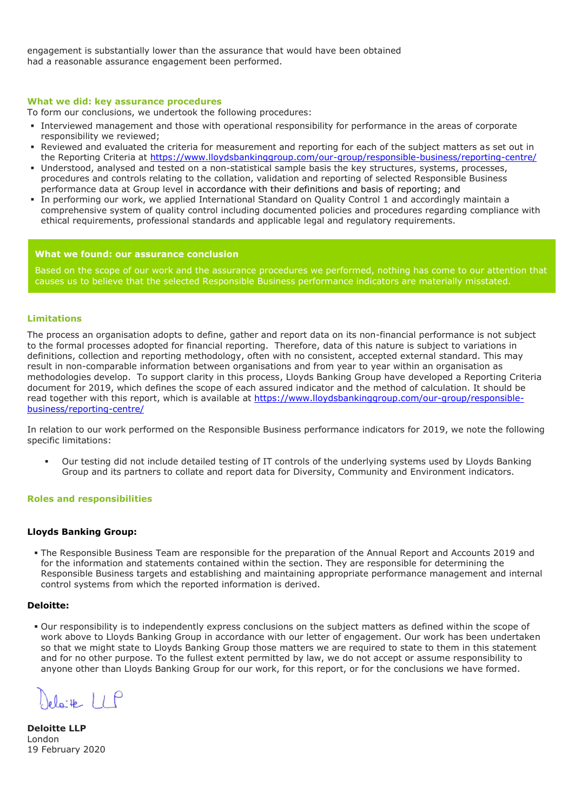engagement is substantially lower than the assurance that would have been obtained had a reasonable assurance engagement been performed.

#### **What we did: key assurance procedures**

To form our conclusions, we undertook the following procedures:

- Interviewed management and those with operational responsibility for performance in the areas of corporate responsibility we reviewed;
- Reviewed and evaluated the criteria for measurement and reporting for each of the subject matters as set out in the Reporting Criteria at<https://www.lloydsbankinggroup.com/our-group/responsible-business/reporting-centre/>
- Understood, analysed and tested on a non-statistical sample basis the key structures, systems, processes, procedures and controls relating to the collation, validation and reporting of selected Responsible Business performance data at Group level in accordance with their definitions and basis of reporting; and
- In performing our work, we applied International Standard on Quality Control 1 and accordingly maintain a comprehensive system of quality control including documented policies and procedures regarding compliance with ethical requirements, professional standards and applicable legal and regulatory requirements.

#### **What we found: our assurance conclusion**

Based on the scope of our work and the assurance procedures we performed, nothing has come to our attention that causes us to believe that the selected Responsible Business performance indicators are materially misstated.

#### **Limitations**

The process an organisation adopts to define, gather and report data on its non-financial performance is not subject to the formal processes adopted for financial reporting. Therefore, data of this nature is subject to variations in definitions, collection and reporting methodology, often with no consistent, accepted external standard. This may result in non-comparable information between organisations and from year to year within an organisation as methodologies develop. To support clarity in this process, Lloyds Banking Group have developed a Reporting Criteria document for 2019, which defines the scope of each assured indicator and the method of calculation. It should be read together with this report, which is available at [https://www.lloydsbankinggroup.com/our-group/responsible](https://www.lloydsbankinggroup.com/our-group/responsible-business/reporting-centre/)[business/reporting-centre/](https://www.lloydsbankinggroup.com/our-group/responsible-business/reporting-centre/)

In relation to our work performed on the Responsible Business performance indicators for 2019, we note the following specific limitations:

 Our testing did not include detailed testing of IT controls of the underlying systems used by Lloyds Banking Group and its partners to collate and report data for Diversity, Community and Environment indicators.

#### **Roles and responsibilities**

#### **Lloyds Banking Group:**

 The Responsible Business Team are responsible for the preparation of the Annual Report and Accounts 2019 and for the information and statements contained within the section. They are responsible for determining the Responsible Business targets and establishing and maintaining appropriate performance management and internal control systems from which the reported information is derived.

#### **Deloitte:**

 Our responsibility is to independently express conclusions on the subject matters as defined within the scope of work above to Lloyds Banking Group in accordance with our letter of engagement. Our work has been undertaken so that we might state to Lloyds Banking Group those matters we are required to state to them in this statement and for no other purpose. To the fullest extent permitted by law, we do not accept or assume responsibility to anyone other than Lloyds Banking Group for our work, for this report, or for the conclusions we have formed.

elaite LLP

**Deloitte LLP**  London 19 February 2020